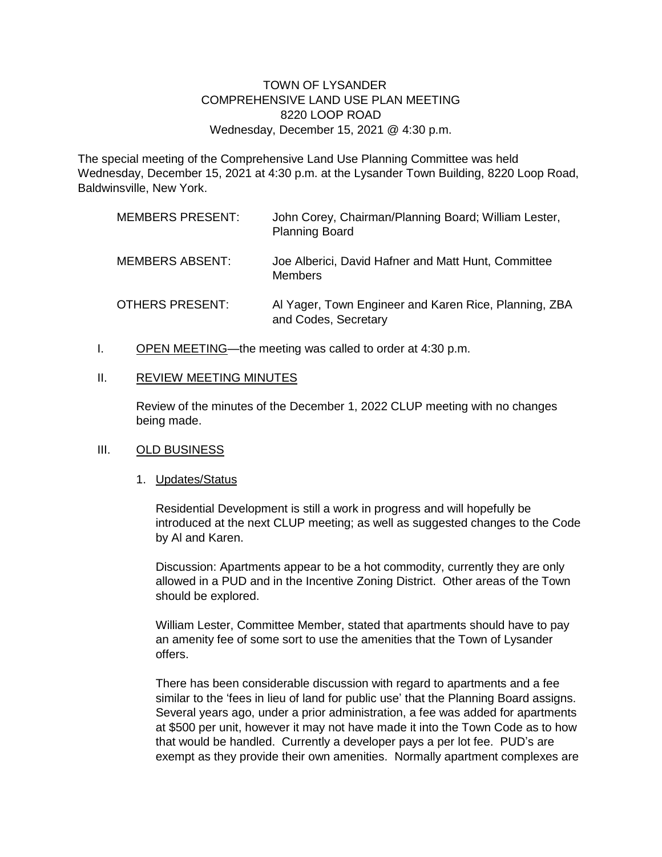## TOWN OF LYSANDER COMPREHENSIVE LAND USE PLAN MEETING 8220 LOOP ROAD Wednesday, December 15, 2021 @ 4:30 p.m.

The special meeting of the Comprehensive Land Use Planning Committee was held Wednesday, December 15, 2021 at 4:30 p.m. at the Lysander Town Building, 8220 Loop Road, Baldwinsville, New York.

| <b>MEMBERS PRESENT:</b> | John Corey, Chairman/Planning Board; William Lester,<br><b>Planning Board</b> |
|-------------------------|-------------------------------------------------------------------------------|
| <b>MEMBERS ABSENT:</b>  | Joe Alberici, David Hafner and Matt Hunt, Committee<br><b>Members</b>         |
| <b>OTHERS PRESENT:</b>  | Al Yager, Town Engineer and Karen Rice, Planning, ZBA<br>and Codes, Secretary |

I. OPEN MEETING—the meeting was called to order at 4:30 p.m.

#### II. REVIEW MEETING MINUTES

Review of the minutes of the December 1, 2022 CLUP meeting with no changes being made.

### III. OLD BUSINESS

### 1. Updates/Status

Residential Development is still a work in progress and will hopefully be introduced at the next CLUP meeting; as well as suggested changes to the Code by Al and Karen.

Discussion: Apartments appear to be a hot commodity, currently they are only allowed in a PUD and in the Incentive Zoning District. Other areas of the Town should be explored.

William Lester, Committee Member, stated that apartments should have to pay an amenity fee of some sort to use the amenities that the Town of Lysander offers.

There has been considerable discussion with regard to apartments and a fee similar to the 'fees in lieu of land for public use' that the Planning Board assigns. Several years ago, under a prior administration, a fee was added for apartments at \$500 per unit, however it may not have made it into the Town Code as to how that would be handled. Currently a developer pays a per lot fee. PUD's are exempt as they provide their own amenities. Normally apartment complexes are